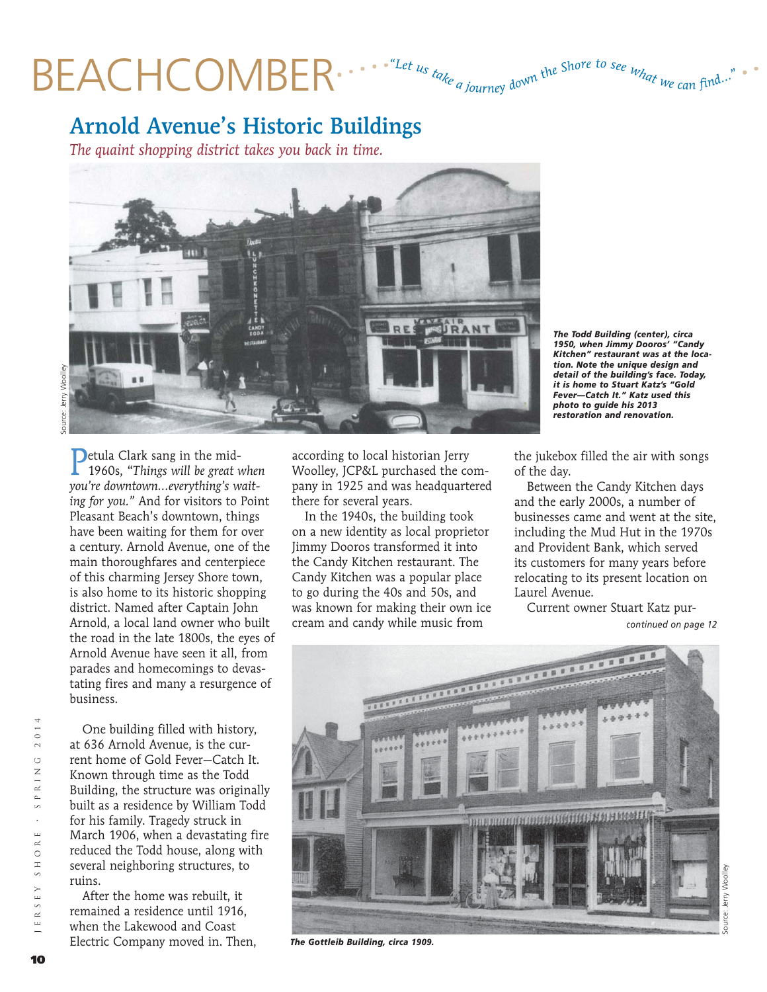## BEACHCOMBER .... "Let us take a journey down the Shore to see what we can find.

## Arnold Avenue's Historic Buildings

*The quaint shopping district takes you back in time.*



Petula Clark sang in the mid-1960s, "*Things will be great when you're downtown…everything's waiting for you."* And for visitors to Point Pleasant Beach's downtown, things have been waiting for them for over a century. Arnold Avenue, one of the main thoroughfares and centerpiece of this charming Jersey Shore town, is also home to its historic shopping district. Named after Captain John Arnold, a local land owner who built the road in the late 1800s, the eyes of Arnold Avenue have seen it all, from parades and homecomings to devastating fires and many a resurgence of business.

 $2014$  Jersey shore • spring 2014 RING  $\simeq$  $\circ$  $\overline{u}$  $\alpha$ SHO  $\mathbb E$  Y JERS

 One building filled with history, at 636 Arnold Avenue, is the current home of Gold Fever—Catch It. Known through time as the Todd Building, the structure was originally built as a residence by William Todd for his family. Tragedy struck in March 1906, when a devastating fire reduced the Todd house, along with several neighboring structures, to ruins.

 After the home was rebuilt, it remained a residence until 1916, when the Lakewood and Coast Electric Company moved in. Then, according to local historian Jerry Woolley, JCP&L purchased the company in 1925 and was headquartered there for several years.

 In the 1940s, the building took on a new identity as local proprietor Jimmy Dooros transformed it into the Candy Kitchen restaurant. The Candy Kitchen was a popular place to go during the 40s and 50s, and was known for making their own ice cream and candy while music from

*The Todd Building (center), circa 1950, when Jimmy Dooros' "Candy Kitchen" restaurant was at the location. Note the unique design and detail of the building's face. Today, it is home to Stuart Katz's "Gold Fever—Catch It." Katz used this photo to guide his 2013 restoration and renovation.*

the jukebox filled the air with songs of the day.

 Between the Candy Kitchen days and the early 2000s, a number of businesses came and went at the site, including the Mud Hut in the 1970s and Provident Bank, which served its customers for many years before relocating to its present location on Laurel Avenue.

 Current owner Stuart Katz pur*continued on page 12*



*The Gottleib Building, circa 1909.*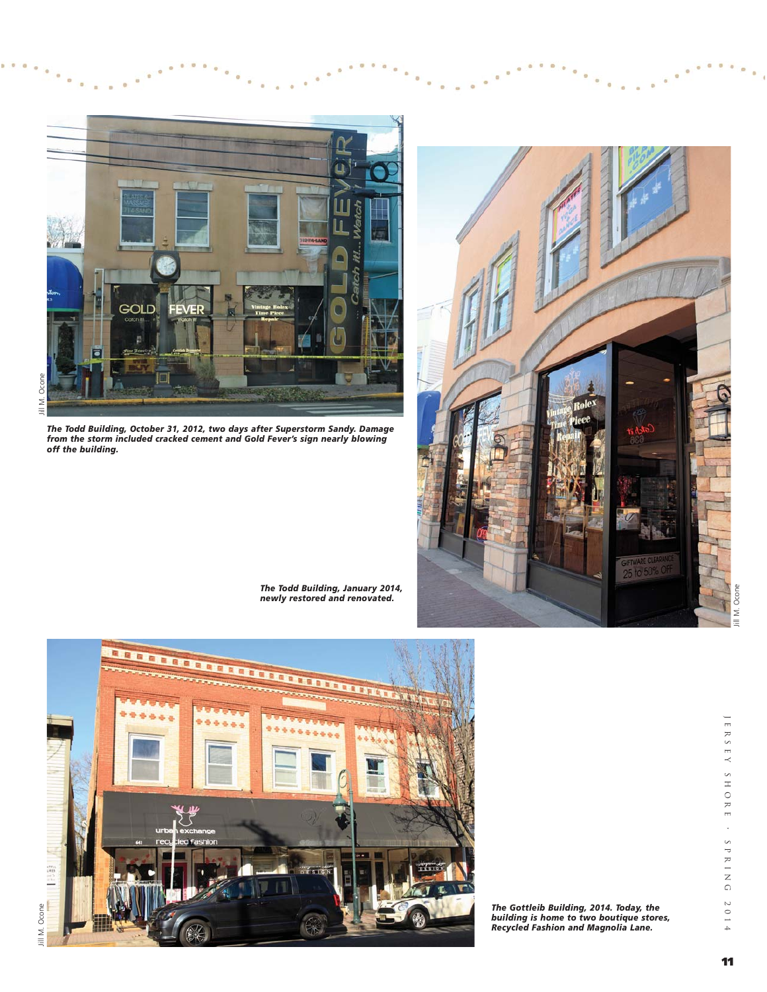

*The Todd Building, October 31, 2012, two days after Superstorm Sandy. Damage from the storm included cracked cement and Gold Fever's sign nearly blowing off the building.* 



*The Todd Building, January 2014, newly restored and renovated.*



*The Gottleib Building, 2014. Today, the building is home to two boutique stores, Recycled Fashion and Magnolia Lane.*